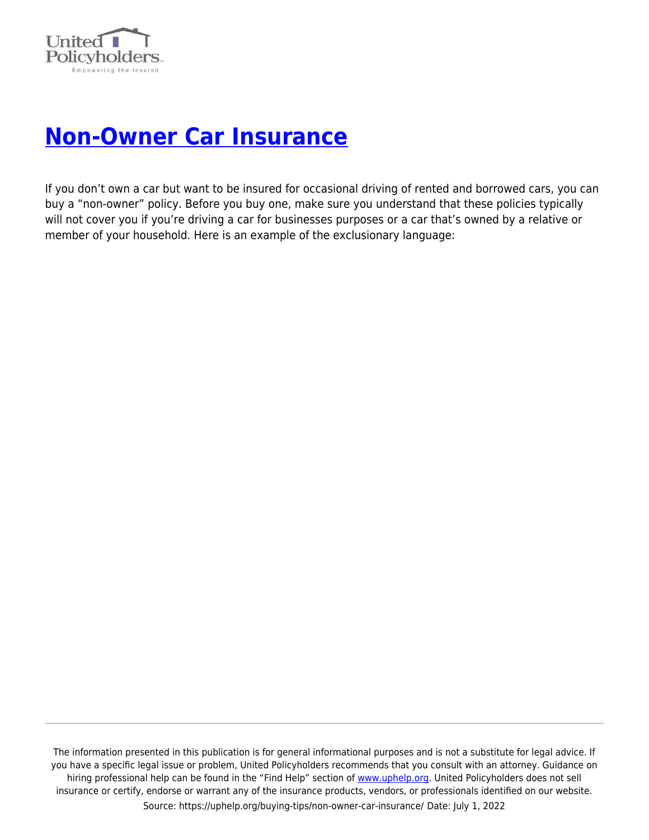

## **[Non-Owner Car Insurance](https://uphelp.org/buying-tips/non-owner-car-insurance/)**

If you don't own a car but want to be insured for occasional driving of rented and borrowed cars, you can buy a "non-owner" policy. Before you buy one, make sure you understand that these policies typically will not cover you if you're driving a car for businesses purposes or a car that's owned by a relative or member of your household. Here is an example of the exclusionary language:

The information presented in this publication is for general informational purposes and is not a substitute for legal advice. If you have a specific legal issue or problem, United Policyholders recommends that you consult with an attorney. Guidance on hiring professional help can be found in the "Find Help" section of [www.uphelp.org.](http://www.uphelp.org/) United Policyholders does not sell insurance or certify, endorse or warrant any of the insurance products, vendors, or professionals identified on our website. Source: https://uphelp.org/buying-tips/non-owner-car-insurance/ Date: July 1, 2022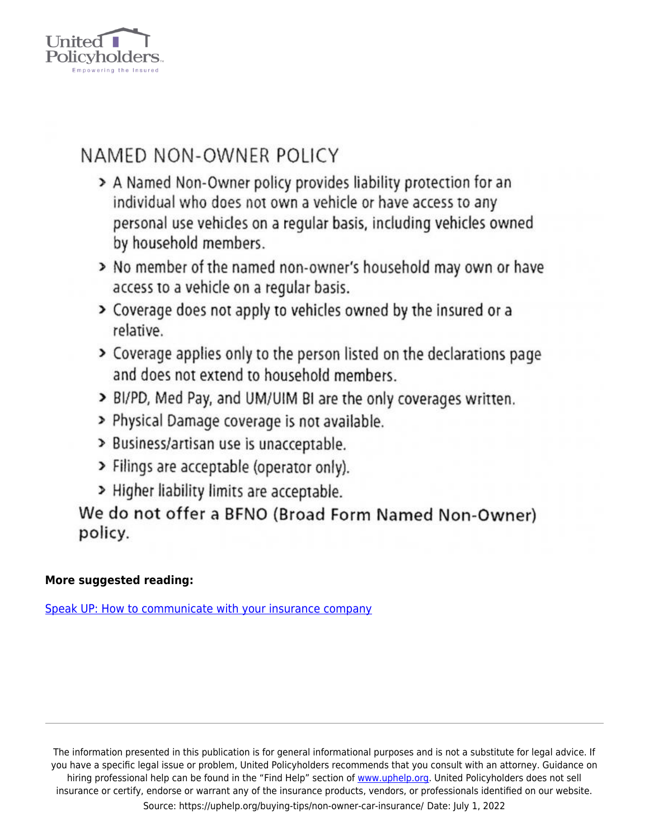

## NAMED NON-OWNER POLICY

- > A Named Non-Owner policy provides liability protection for an individual who does not own a vehicle or have access to any personal use vehicles on a regular basis, including vehicles owned by household members.
- > No member of the named non-owner's household may own or have access to a vehicle on a regular basis.
- > Coverage does not apply to vehicles owned by the insured or a relative.
- > Coverage applies only to the person listed on the declarations page and does not extend to household members.
- > BI/PD, Med Pay, and UM/UIM BI are the only coverages written.
- > Physical Damage coverage is not available.
- > Business/artisan use is unacceptable.
- > Filings are acceptable (operator only).
- > Higher liability limits are acceptable.

We do not offer a BFNO (Broad Form Named Non-Owner) policy.

## More suggested reading:

Speak UP: How to communicate with your insurance company

The information presented in this publication is for general informational purposes and is not a substitute for legal advice. If you have a specific legal issue or problem, United Policyholders recommends that you consult with an attorney. Guidance on hiring professional help can be found in the "Find Help" section of www.uphelp.org. United Policyholders does not sell insurance or certify, endorse or warrant any of the insurance products, vendors, or professionals identified on our website. Source: https://uphelp.org/buying-tips/non-owner-car-insurance/ Date: July 1, 2022